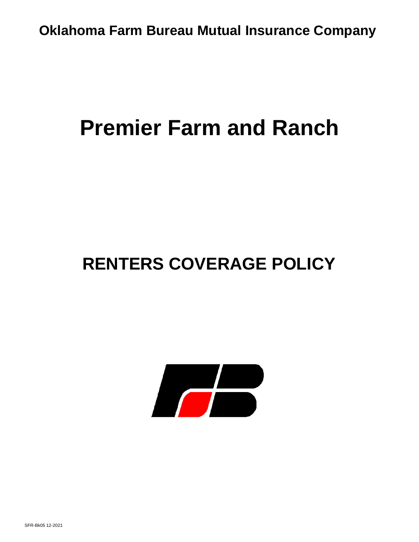# **Premier Farm and Ranch**

# **RENTERS COVERAGE POLICY**

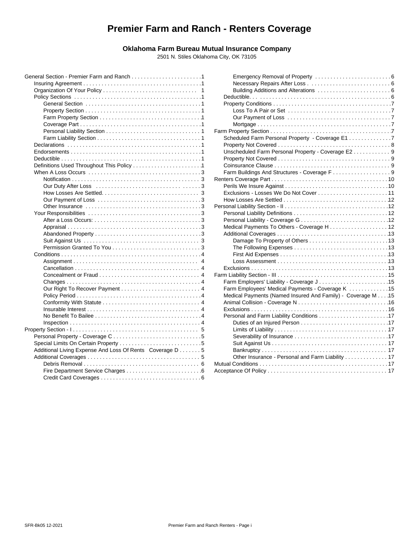# **Premier Farm and Ranch - Renters Coverage**

# **Oklahoma Farm Bureau Mutual Insurance Company**

2501 N. Stiles Oklahoma City, OK 73105

|                                                                                                          | Eme                |
|----------------------------------------------------------------------------------------------------------|--------------------|
|                                                                                                          | <b>Nec</b>         |
|                                                                                                          | <b>Build</b>       |
|                                                                                                          | Deductil           |
|                                                                                                          | Property           |
|                                                                                                          | Loss               |
|                                                                                                          | Our                |
|                                                                                                          | Mort               |
|                                                                                                          | Farm Prope         |
|                                                                                                          | Schedul            |
|                                                                                                          | Property           |
| $Endorsements \dots \dots \dots \dots \dots \dots \dots \dots \dots \dots \dots \dots \dots \dots \dots$ | Unscher            |
|                                                                                                          | Property           |
|                                                                                                          | Coinsura           |
|                                                                                                          | Farm Bu            |
|                                                                                                          | <b>Renters Coy</b> |
|                                                                                                          | Perils W           |
|                                                                                                          | Exclusio           |
|                                                                                                          | How Los            |
|                                                                                                          | Personal Lia       |
|                                                                                                          | Persona            |
|                                                                                                          | Persona            |
|                                                                                                          | Medical            |
|                                                                                                          | Addition           |
|                                                                                                          | Dam                |
|                                                                                                          | The                |
|                                                                                                          | First              |
|                                                                                                          | Loss               |
|                                                                                                          | Exclusio           |
|                                                                                                          | Farm Liabilit      |
|                                                                                                          | Farm Er            |
|                                                                                                          | Farm Er            |
|                                                                                                          | Medical            |
|                                                                                                          | Animal (           |
|                                                                                                          | Exclusio           |
|                                                                                                          | Persona            |
|                                                                                                          | Duti               |
|                                                                                                          | Limi               |
|                                                                                                          | <b>Seve</b>        |
|                                                                                                          | Suit               |
| Additional Living Expense And Loss Of Rents Coverage D 5                                                 | Ban                |
|                                                                                                          | Othe               |
|                                                                                                          | <b>Mutual Cond</b> |
|                                                                                                          | Acceptance         |
|                                                                                                          |                    |
|                                                                                                          |                    |

| 1 |                                                             |
|---|-------------------------------------------------------------|
| 1 |                                                             |
| 1 |                                                             |
| 1 |                                                             |
| 1 |                                                             |
| 1 |                                                             |
| 1 |                                                             |
| 1 |                                                             |
| 1 |                                                             |
| 1 | Scheduled Farm Personal Property - Coverage E1 7            |
| 1 |                                                             |
| 1 | Unscheduled Farm Personal Property - Coverage E2 9          |
| 1 |                                                             |
| 1 |                                                             |
| 3 |                                                             |
| 3 |                                                             |
| 3 |                                                             |
| 3 |                                                             |
| 3 |                                                             |
| 3 |                                                             |
| 3 |                                                             |
| 3 |                                                             |
| 3 |                                                             |
| 3 |                                                             |
| 3 |                                                             |
| 3 |                                                             |
| 4 |                                                             |
| 4 |                                                             |
| 4 |                                                             |
| 4 |                                                             |
| 4 | Farm Employers' Liability - Coverage J15                    |
| 4 | Farm Employees' Medical Payments - Coverage K 15            |
| 4 | Medical Payments (Named Insured And Family) - Coverage M 15 |
| 4 |                                                             |
| 4 |                                                             |
| 4 |                                                             |
| 4 |                                                             |
| 5 |                                                             |
| 5 |                                                             |
| 5 |                                                             |
| 5 |                                                             |
| 5 | Other Insurance - Personal and Farm Liability 17            |
| 6 |                                                             |
| 6 |                                                             |
|   |                                                             |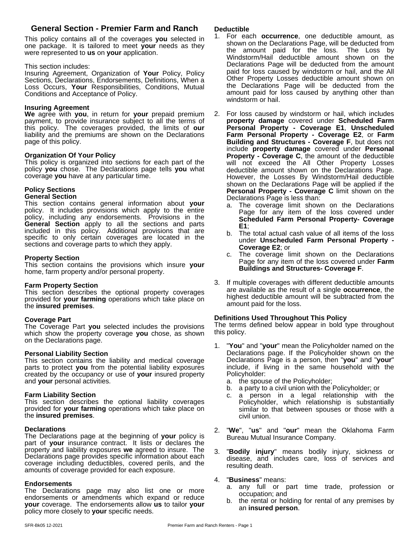# **General Section - Premier Farm and Ranch**

This policy contains all of the coverages **you** selected in one package. It is tailored to meet **your** needs as they were represented to **us** on **your** application.

#### This section includes:

Insuring Agreement, Organization of **Your** Policy, Policy Sections, Declarations, Endorsements, Definitions, When a Loss Occurs, **Your** Responsibilities, Conditions, Mutual Conditions and Acceptance of Policy.

#### **Insuring Agreement**

**We** agree with **you**, in return for **your** prepaid premium payment, to provide insurance subject to all the terms of this policy. The coverages provided, the limits of **our** liability and the premiums are shown on the Declarations page of this policy.

#### **Organization Of Your Policy**

This policy is organized into sections for each part of the policy **you** chose. The Declarations page tells **you** what coverage **you** have at any particular time.

# **Policy Sections**

#### **General Section**

This section contains general information about **your** policy. It includes provisions which apply to the entire policy, including any endorsements. Provisions in the **General Section** apply to all the sections and parts **F1** included in this policy. Additional provisions that are  $h_{h}$ ,  $\overline{h}_{h}$ specific to only certain coverages are located in the sections and coverage parts to which they apply.

#### **Property Section**

This section contains the provisions which insure **your** home, farm property and/or personal property.

#### **Farm Property Section**

This section describes the optional property coverages provided for **your farming** operations which take place on the **insured premises**.

#### **Coverage Part**

The Coverage Part **you** selected includes the provisions which show the property coverage **you** chose, as shown on the Declarations page.

#### **Personal Liability Section**

This section contains the liability and medical coverage parts to protect you from the potential liability exposures created by the occupancy or use of **your** insured property and **your** personal activities.

#### **Farm Liability Section**

This section describes the optional liability coverages provided for **your farming** operations which take place on the **insured premises**.

#### **Declarations**

The Declarations page at the beginning of **your** policy is part of **your** insurance contract. It lists or declares the property and liability exposures **we** agreed to insure. The Declarations page provides specific information about each coverage including deductibles, covered perils, and the amounts of coverage provided for each exposure.

#### **Endorsements**

The Declarations page may also list one or more  $\frac{a}{\alpha}$ endorsements or amendments which expand or reduce  $h_{\text{th}}$  the r **your** coverage. The endorsements allow **us** to tailor **your** policy more closely to **your** specific needs.

#### **Deductible**

- 1. For each **occurrence**, one deductible amount, as shown on the Declarations Page, will be deducted from the amount paid for the loss. The Loss by Windstorm/Hail deductible amount shown on the Declarations Page will be deducted from the amount paid for loss caused by windstorm or hail, and the All Other Property Losses deductible amount shown on the Declarations Page will be deducted from the amount paid for loss caused by anything other than windstorm or hail.
- 2. For loss caused by windstorm or hail, which includes **property damage** covered under **Scheduled Farm Personal Property - Coverage E1**, **Unscheduled Farm Personal Property - Coverage E2**, or **Farm Building and Structures - Coverage F**, but does not include **property damage** covered under **Personal Property - Coverage C**, the amount of the deductible will not exceed the All Other Property Losses deductible amount shown on the Declarations Page. However, the Losses By Windstorm/Hail deductible shown on the Declarations Page will be applied if the **Personal Property - Coverage C** limit shown on the Declarations Page is less than:
	- a. The coverage limit shown on the Declarations Page for any item of the loss covered under **Scheduled Farm Personal Property- Coverage E1**;
	- b. The total actual cash value of all items of the loss under **Unscheduled Farm Personal Property - Coverage E2**; or
	- c. The coverage limit shown on the Declarations Page for any item of the loss covered under**Farm Buildings and Structures- Coverage F**.
- 3. If multiple coverages with different deductible amounts are available as the result of a single **occurrence**, the highest deductible amount will be subtracted from the amount paid for the loss.

#### **Definitions Used Throughout This Policy**

The terms defined below appear in bold type throughout this policy.

- 1. "**You**" and "**your**" mean the Policyholder named on the Declarations page. If the Policyholder shown on the Declarations Page is a person, then "**you**" and "**your**" include, if living in the same household with the Policyholder:
	- a. the spouse of the Policyholder;
	- b. a party to a civil union with the Policyholder; or
	- a person in a legal relationship with the Policyholder, which relationship is substantially similar to that between spouses or those with a civil union.
- 2. "**We**", "**us**" and "**our**" mean the Oklahoma Farm Bureau Mutual Insurance Company.
- 3. "**Bodily injury**" means bodily injury, sickness or disease, and includes care, loss of services and resulting death.

#### 4. "**Business**" means:

- a. any full or part time trade, profession or occupation; and
- b. the rental or holding for rental of any premises by an **insured person**.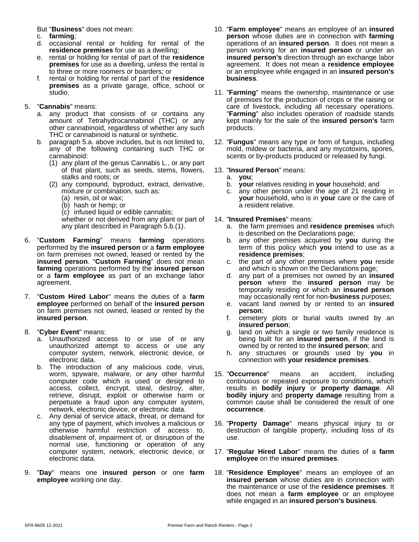But "**Business**" does not mean:

- c. **farming**;
- d. occasional rental or holding for rental of the **residence premises** for use as a dwelling;
- e. rental or holding for rental of part of the **residence premises** for use as a dwelling, unless the rental is to three or more roomers or boarders; or
- f. rental or holding for rental of part of the **residence premises** as a private garage, office, school or studio.

#### 5. "**Cannabis**" means:

- a. any product that consists of or contains any amount of Tetrahydrocannabinol (THC) or any other cannabinoid, regardless of whether any such THC or cannabinoid is natural or synthetic.
- b. paragraph 5.a. above includes, but is not limited to, any of the following containing such THC or cannabinoid:
	- (1) any plant of the genus Cannabis L., or any part of that plant, such as seeds, stems, flowers, stalks and roots; or
	- (2) any compound, byproduct, extract, derivative, mixture or combination, such as:
		- (a) resin, oil or wax;
		- (b) hash or hemp; or
		- (c) infused liquid or edible cannabis;

whether or not derived from any plant or part of any plant described in Paragraph 5.b.(1).

- 6. "**Custom Farming**" means **farming** operations performed by the **insured person** or a **farm employee** on farm premises not owned, leased or rented by the **insured person. "Custom Farming"** does not mean c. the p **farming** operations performed by the **insured person** or a **farm employee** as part of an exchange labor agreement.
- 7. "**Custom Hired Labor**" means the duties of a **farm employee** performed on behalf of the **insured person** on farm premises not owned, leased or rented by the **insured person**.
- 8. "**Cyber Event**" means:
	- a. Unauthorized access to or use of or any unauthorized attempt to access or use any computer system, network, electronic device, or electronic data.
	- b. The introduction of any malicious code, virus, worm, spyware, malware, or any other harmful computer code which is used or designed to access, collect, encrypt, steal, destroy, alter, retrieve, disrupt, exploit or otherwise harm or perpetuate a fraud upon any computer system, network, electronic device, or electronic data.
	- c. Any denial of service attack, threat, or demand for any type of payment, which involves a malicious or otherwise harmful restriction of access to, disablement of, impairment of, or disruption of the normal use, functioning or operation of any computer system, network, electronic device, or electronic data.
- 9. "**Day**" means one **insured person** or one **farm employee** working one day.
- 10. "**Farm employee**" means an employee of an **insured person** whose duties are in connection with **farming** operations of an **insured person**. It does not mean a person working for an **insured person** or under an **insured person's** direction through an exchange labor agreement. It does not mean a **residence employee** or an employee while engaged in an **insured person's business**.
- 11. "**Farming**" means the ownership, maintenance or use of premises for the production of crops or the raising or care of livestock, including all necessary operations. "**Farming**" also includes operation of roadside stands kept mainly for the sale of the **insured person's** farm products.
- 12. "**Fungus**" means any type or form of fungus, including mold, mildew or bacteria, and any mycotoxins, spores, scents or by-products produced or released by fungi.

# 13. "**Insured Person**" means:

- a. **you**;
- **your** relatives residing in **your** household; and
- c. any other person under the age of 21 residing in **your** household, who is in **your** care or the care of a resident relative.

#### 14. "**Insured Premises**" means:

- a. the farm premisesand **residence premises** which is described on the Declarations page;
- b. any other premises acquired by **you** during the term of this policy which **you** intend to use as a **residence premises**;
- c. the part of any other premises where **you** reside and which is shown on the Declarations page;
- d. any part of a premises not owned by an **insured person** where the **insured person** may be temporarily residing or which an **insured person** may occasionally rent for non-**business** purposes;
- e. vacant land owned by or rented to an **insured person**;
- f. cemetery plots or burial vaults owned by an **insured person**;
- g. land on which a single or two family residence is being built for an **insured person**, if the land is owned by or rented to the **insured person**; and
- h. any structures or grounds used by **you** in connection with **your residence premises**.
- 15. "**Occurrence**" means an accident, including continuous or repeated exposure to conditions, which results in **bodily injury** or **property damage**. All **bodily injury** and **property damage** resulting from a common cause shall be considered the result of one **occurrence**.
- 16. "**Property Damage**" means physical injury to or destruction of tangible property, including loss of its use.
- 17. "**Regular Hired Labor**" means the duties of a **farm employee** on the i**nsured premises**.
- 18. "**Residence Employee**" means an employee of an **insured person** whose duties are in connection with the maintenance or use of the **residence premises**. It does not mean a **farm employee** or an employee while engaged in an **insured person's business**.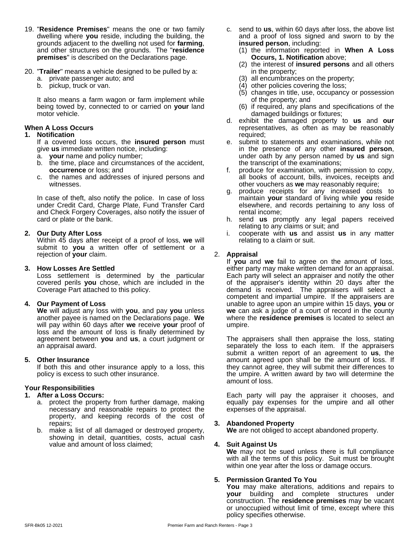- 19. "**Residence Premises**" means the one or two family dwelling where **you** reside, including the building, the grounds adjacent to the dwelling not used for **farming**, and other structures on the grounds. The "**residence premises**" is described on the Declarations page.
- 20. "**Trailer**" means a vehicle designed to be pulled by a:
	- a. private passenger auto; and
	- b. pickup, truck or van.

It also means a farm wagon or farm implement while being towed by, connected to or carried on **your** land motor vehicle.

#### **When A Loss Occurs**

#### **1. Notification**

If a covered loss occurs, the **insured person** must give **us** immediate written notice, including:

- a. **your** name and policy number;
- b. the time, place and circumstances of the accident, **occurrence** or loss; and
- c. the names and addresses of injured persons and witnesses.

In case of theft, also notify the police. In case of loss under Credit Card, Charge Plate, Fund Transfer Card and Check Forgery Coverages, also notify the issuer of card or plate or the bank.

#### **2. Our Duty After Loss**

Within 45 days after receipt of a proof of loss, **we** will submit to **you** a written offer of settlement or a rejection of **your** claim.

#### **3. How Losses Are Settled**

Loss settlement is determined by the particular covered perils **you** chose, which are included in the Coverage Part attached to this policy.

#### **4. Our Payment of Loss**

**We** will adjust any loss with **you**, and pay **you** unless another payee is named on the Declarations page.**We** will pay within 60 days after **we** receive **your** proof of loss and the amount of loss is finally determined by agreement between **you** and **us**, a court judgment or an appraisal award.

#### **5. Other Insurance**

If both this and other insurance apply to a loss, this policy is excess to such other insurance.

#### **Your Responsibilities**

#### **1. After a Loss Occurs:**

- a. protect the property from further damage, making necessary and reasonable repairs to protect the property, and keeping records of the cost of repairs;
- b. make a list of all damaged or destroyed property, showing in detail, quantities, costs, actual cash value and amount of loss claimed;
- c. send to **us**, within 60 days after loss, the above list and a proof of loss signed and sworn to by the **insured person**, including:
	- (1) the information reported in **When A Loss Occurs, 1. Notification** above;
	- (2) the interest of **insured persons** and all others in the property;
	- (3) all encumbrances on the property;
	- (4) other policies covering the loss;
	- (5) changes in title, use, occupancy or possession of the property; and
	- (6) if required, any plans and specifications of the damaged buildings or fixtures;
- d. exhibit the damaged property to **us** and **our** representatives, as often as may be reasonably required;
- e. submit to statements and examinations, while not in the presence of any other **insured person**, under oath by any person named by **us** and sign the transcript of the examinations;
- f. produce for examination, with permission to copy, all books of account, bills, invoices, receipts and other vouchers as **we** may reasonably require;
- g. produce receipts for any increased costs to maintain **your** standard of living while **you** reside elsewhere, and records pertaining to any loss of rental income;
- h. send **us** promptly any legal papers received relating to any claims or suit; and
- i. cooperate with **us** and assist **us** in any matter relating to a claim or suit.

#### 2. **Appraisal**

If **you** and **we** fail to agree on the amount of loss, either party may make written demand for an appraisal. Each party will select an appraiser and notify the other of the appraiser's identity within 20 days after the demand is received. The appraisers will select a competent and impartial umpire. If the appraisers are unable to agree upon an umpire within 15 days, **you** or **we** can ask a judge of a court of record in the county where the **residence premises** is located to select an umpire.

The appraisers shall then appraise the loss, stating separately the loss to each item. If the appraisers submit a written report of an agreement to **us**, the amount agreed upon shall be the amount of loss. If they cannot agree, they will submit their differences to the umpire. A written award by two will determine the amount of loss.

Each party will pay the appraiser it chooses, and equally pay expenses for the umpire and all other expenses of the appraisal.

#### **3. Abandoned Property**

**We** are not obliged to accept abandoned property.

#### **4. Suit Against Us**

**We** may not be sued unless there is full compliance with all the terms of this policy. Suit must be brought within one year after the loss or damage occurs.

#### **5. Permission Granted To You**

**You** may make alterations, additions and repairs to **your** building and complete structures under construction. The **residence premises** may be vacant or unoccupied without limit of time, except where this policy specifies otherwise.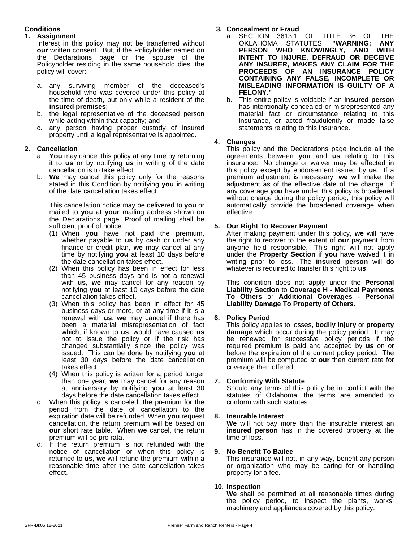# **Conditions**

#### **1. Assignment**

Interest in this policy may not be transferred without **our** written consent. But, if the Policyholder named on the Declarations page or the spouse of the Policyholder residing in the same household dies, the policy will cover:

- a. any surviving member of the deceased's household who was covered under this policy at the time of death, but only while a resident of the **insured premises**;
- b. the legal representative of the deceased person while acting within that capacity; and
- c. any person having proper custody of insured property until a legal representative is appointed.

# **2. Cancellation**

- a. **You** may cancel this policy at any time by returning it to **us** or by notifying **us** in writing of the date cancellation is to take effect.
- b. **We** may cancel this policy only for the reasons stated in this Condition by notifying **you** in writing of the date cancellation takes effect.

This cancellation notice may be delivered to **you** or mailed to **you** at **your** mailing address shown on the Declarations page. Proof of mailing shall be sufficient proof of notice.

- (1) When **you** have not paid the premium, whether payable to **us** by cash or under any finance or credit plan, **we** may cancel at any time by notifying **you** at least 10 days before the date cancellation takes effect.
- (2) When this policy has been in effect for less than 45 business days and is not a renewal with **us**, we may cancel for any reason by notifying **you** at least 10 days before the date cancellation takes effect.
- (3) When this policy has been in effect for 45 business days or more, or at any time if it is a renewal with **us**, **we** may cancel if there has been a material misrepresentation of fact which, if known to **us**, would have caused **us** not to issue the policy or if the risk has changed substantially since the policy was issued. This can be done by notifying **you** at least 30 days before the date cancellation takes effect.
- (4) When this policy is written for a period longer than one year, **we** may cancel for any reason at anniversary by notifying **you** at least 30 days before the date cancellation takes effect.
- c. When this policy is canceled, the premium for the period from the date of cancellation to the expiration date will be refunded. When **you** request cancellation, the return premium will be based on **our** short rate table. When **we** cancel, the return premium will be pro rata.
- d. If the return premium is not refunded with the notice of cancellation or when this policy is 9. notice of cancellation or when this policy is returned to **us**, **we** will refund the premium within a reasonable time after the date cancellation takes effect.

# **3. Concealment or Fraud**

- a. SECTION 3613.1 OF TITLE 36 OF THE<br>OKLAHOMA STATUTES: "WARNING: ANY OKLAHOMA STATUTES: **"WARNING: ANY PERSON WHO KNOWINGLY, AND WITH INTENT TO INJURE, DEFRAUD OR DECEIVE ANY INSURER, MAKES ANY CLAIM FOR THE PROCEEDS OF AN INSURANCE POLICY CONTAINING ANY FALSE, INCOMPLETE OR MISLEADING INFORMATION IS GUILTY OF A FELONY."**
- b. This entire policy is voidable if an **insured person** has intentionally concealed or misrepresented any material fact or circumstance relating to this insurance, or acted fraudulently or made false statements relating to this insurance.

#### **4. Changes**

This policy and the Declarations page include all the agreements between **you** and **us** relating to this insurance. No change or waiver may be effected in this policy except by endorsement issued by **us**. If a premium adjustment is necessary, **we** will make the adjustment as of the effective date of the change. If any coverage **you** have under this policy is broadened without charge during the policy period, this policy will automatically provide the broadened coverage when effective.

# **5. Our Right To Recover Payment**

After making payment under this policy, **we** will have the right to recover to the extent of **our** payment from anyone held responsible. This right will not apply under the **Property Section** if **you** have waived it in writing prior to loss. The **insured person** will do whatever is required to transfer this right to **us**.

This condition does not apply under the **Personal Liability Section** to **Coverage H - Medical Payments To Others** or **Additional Coverages - Personal Liability Damage To Property of Others**.

# **6. Policy Period**

This policy applies to losses, **bodily injury** or **property damage** which occur during the policy period. It may be renewed for successive policy periods if the required premium is paid and accepted by us on or before the expiration of the current policy period. The premium will be computed at **our** then current rate for coverage then offered.

#### **7. Conformity With Statute**

Should any terms of this policy be in conflict with the statutes of Oklahoma, the terms are amended to conform with such statutes.

#### **8. Insurable Interest**

**We** will not pay more than the insurable interest an **insured person** has in the covered property at the time of loss.

#### **9. No Benefit To Bailee**

This insurance will not, in any way, benefit any person or organization who may be caring for or handling property for a fee.

#### **10. Inspection**

**We** shall be permitted at all reasonable times during the policy period, to inspect the plants, works, machinery and appliances covered by this policy.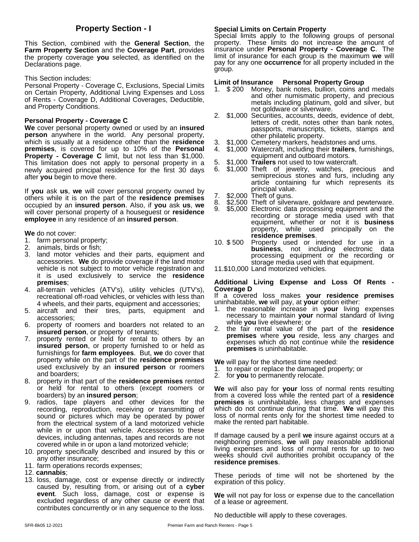This Section, combined with the **General Section**, the **Farm Property Section** and the **Coverage Part**, provides the property coverage **you** selected, as identified on the Declarations page.

This Section includes:

Personal Property - Coverage C, Exclusions, Special Limits Limit of Insurance on Certain Property, Additional Living Expenses and Loss of Rents - Coverage D, Additional Coverages, Deductible, and Property Conditions.

# **Personal Property - Coverage C**

**We** cover personal property owned or used by an **insured person** anywhere in the world. Any personal property, which is usually at a residence other than the **residence premises**, is covered for up to 10% of the **Personal Property - Coverage C** limit, but not less than \$1,000. This limitation does not apply to personal property in a 5. newly acquired principal residence for the first 30 days after **you** begin to move there.

If **you** ask **us**, **we** will cover personal property owned by others while it is on the part of the **residence premises** occupied by an **insured person**. Also, if **you** ask **us**, **we** will cover personal property of a houseguest or **residence employee** in any residence of an **insured person**.

**We** do not cover:

- 1. farm personal property;
- 2. animals, birds or fish;
- 3. land motor vehicles and their parts, equipment and accessories. **We** do provide coverage if the land motor vehicle is not subject to motor vehicle registration and 11.\$10,000 Land motorized vehicles. it is used exclusively to service the **residence premises**;
- 4. all-terrain vehicles (ATV's), utility vehicles (UTV's), recreational off-road vehicles, or vehicles with less than 4 wheels, and their parts, equipment and accessories;
- 5. aircraft and their tires, parts, equipment and accessories;
- 6. property of roomers and boarders not related to an **insured person**, or property of tenants;
- 7. property rented or held for rental to others by an **insured person**, or property furnished to or held as furnishings for **farm employees**. But, **we** do cover that property while on the part of the **residence premises** used exclusively by an **insured person** or roomers and boarders;
- 8. property in that part of the **residence premises** rented or held for rental to others (except roomers or boarders) by an **insured person**;
- 9. radios, tape players and other devices for the recording, reproduction, receiving or transmitting of sound or pictures which may be operated by power from the electrical system of a land motorized vehicle while in or upon that vehicle. Accessories to these devices, including antennas, tapes and records are not covered while in or upon a land motorized vehicle;
- 10. property specifically described and insured by this or any other insurance;
- 11. farm operations records expenses;

12. **cannabis**;

13. loss, damage, cost or expense directly or indirectly caused by, resulting from, or arising out of a **cyber event**. Such loss, damage, cost or expense is excluded regardless of any other cause or event that contributes concurrently or in any sequence to the loss.

### **Property Section - I** Special Limits on Certain Property

Special limits apply to the following groups of personal property. These limits do not increase the amount of insurance under **Personal Property - Coverage C**. The limit of insurance for each group is the maximum **we** will pay for any one **occurrence** for all property included in the group.

#### **Personal Property Group**

- 1. \$ 200 Money, bank notes, bullion, coins and medals and other numismatic property, and precious metals including platinum, gold and silver, but not goldware or silverware.
- 2. \$1,000 Securities, accounts, deeds, evidence of debt, letters of credit, notes other than bank notes, passports, manuscripts, tickets, stamps and other philatelic property.
- \$1,000 Cemetery markers, headstones and urns.
- 4. \$1,000 Watercraft, including their **trailers**, furnishings, equipment and outboard motors.
- \$1,000 **Trailers** not used to tow watercraft.
- 6. \$1,000 Theft of jewelry, watches, precious and semiprecious stones and furs, including any article containing fur which represents its principal value.
- \$2,000 Theft of guns.
- \$2,500 Theft of silverware, goldware and pewterware.
- 9. \$5,000 Electronic data processing equipment and the recording or storage media used with that equipment, whether or not it is **business** property, while used principally on the **residence premises**.
- 10. \$ 500 Property used or intended for use in a **business**, not including electronic data processing equipment or the recording or storage media used with that equipment.
- 

#### **Additional Living Expense and Loss Of Rents - Coverage D**

If a covered loss makes **your residence premises** uninhabitable, **we** will pay, at **your** option either:

- 1. the reasonable increase in **your** living expenses necessary to maintain **your** normal standard of living while **you** live elsewhere; or
- 2. the fair rental value of the part of the **residence premises** where **you** reside, less any charges and expenses which do not continue while the **residence premises** is uninhabitable.

**We** will pay for the shortest time needed:

- 1. to repair or replace the damaged property; or
- 2. for **you** to permanently relocate.

**We** will also pay for **your** loss of normal rents resulting from a covered loss while the rented part of a **residence premises** is uninhabitable, less charges and expenses which do not continue during that time. We will pay this loss of normal rents only for the shortest time needed to make the rented part habitable.

If damage caused by a peril **we** insure against occurs at a neighboring premises, **we** will pay reasonable additional living expenses and loss of normal rents for up to two weeks should civil authorities prohibit occupancy of the **residence premises**.

These periods of time will not be shortened by the expiration of this policy.

**We** will not pay for loss or expense due to the cancellation of a lease or agreement.

No deductible will apply to these coverages.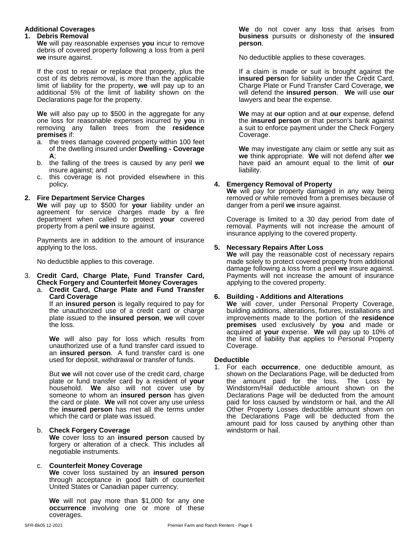### **Additional Coverages**

#### **1. Debris Removal**

**We** will pay reasonable expenses **you** incur to remove debris of covered property following a loss from a peril **we** insure against.

If the cost to repair or replace that property, plus the cost of its debris removal, is more than the applicable limit of liability for the property, **we** will pay up to an additional 5% of the limit of liability shown on the Declarations page for the property.

**We** will also pay up to \$500 in the aggregate for any one loss for reasonable expenses incurred by **you** in removing any fallen trees from the **residence premises** if:

- a. the trees damage covered property within 100 feet of the dwelling insured under**Dwelling - Coverage A**;
- b. the falling of the trees is caused by any peril **we** insure against; and
- c. this coverage is not provided elsewhere in this policy.

#### **2. Fire Department Service Charges**

**We** will pay up to \$500 for **your** liability under an agreement for service charges made by a fire department when called to protect **your** covered property from a peril **we** insure against.

Payments are in addition to the amount of insurance applying to the loss.

No deductible applies to this coverage.

#### 3. **Credit Card, Charge Plate, Fund Transfer Card, Check Forgery and Counterfeit Money Coverages**

a. **Credit Card, Charge Plate and Fund Transfer Card Coverage**

If an **insured person** is legally required to pay for the unauthorized use of a credit card or charge plate issued to the **insured person**, **we** will cover the loss.

**We** will also pay for loss which results from unauthorized use of a fund transfer card issued to an **insured person**. A fund transfer card is one used for deposit, withdrawal or transfer of funds.

But **we** will not cover use of the credit card, charge plate or fund transfer card by a resident of **your** household. **We** also will not cover use by someone to whom an **insured person** has given the card or plate. **We** will not cover any use unless the **insured person** has metall the terms under which the card or plate was issued.

#### b. **Check Forgery Coverage**

**We** coverloss to an **insured person** caused by forgery or alteration of a check. This includes all negotiable instruments.

#### c. **Counterfeit Money Coverage**

**We** coverloss sustained by an **insured person** through acceptance in good faith of counterfeit United States or Canadian paper currency.

**We** will not pay more than \$1,000 for any one **occurrence** involving one or more of these coverages.

**We** do not cover any loss that arises from **business** pursuits or dishonesty of the **insured person**.

No deductible applies to these coverages.

If a claim is made or suit is brought against the **insured perso**n for liability under the Credit Card, Charge Plate or Fund Transfer Card Coverage, **we** will defend the **insured person**. **We** will use **our** lawyers and bear the expense.

**We** may at **our** option and at **our** expense, defend the **insured person** or that person's bank against a suit to enforce payment under the Check Forgery Coverage.

**We** may investigate any claim or settle any suit as we think appropriate. We will not defend after we have paid an amount equal to the limit of **our** liability.

#### **4. Emergency Removal of Property**

**We** will pay for property damaged in any way being removed or while removed from a premises because of danger from a peril **we** insure against.

Coverage is limited to a 30 day period from date of removal. Payments will not increase the amount of insurance applying to the covered property.

#### **5. Necessary Repairs After Loss**

**We** will pay the reasonable cost of necessary repairs made solely to protect covered property from additional damage following a loss from a peril **we** insure against. Payments will not increase the amount of insurance applying to the covered property.

### **6. Building - Additions and Alterations**

**We** will cover, under Personal Property Coverage, building additions, alterations, fixtures, installations and improvements made to the portion of the **residence premises** used exclusively by **you** and made or acquired at **your** expense. **We** will pay up to 10% of the limit of liability that applies to Personal Property Coverage.

#### **Deductible**

1. For each **occurrence**, one deductible amount, as shown on the Declarations Page, will be deducted from the amount paid for the loss. The Loss by Windstorm/Hail deductible amount shown on the Declarations Page will be deducted from the amount paid for loss caused by windstorm or hail, and the All Other Property Losses deductible amount shown on the Declarations Page will be deducted from the amount paid for loss caused by anything other than windstorm or hail.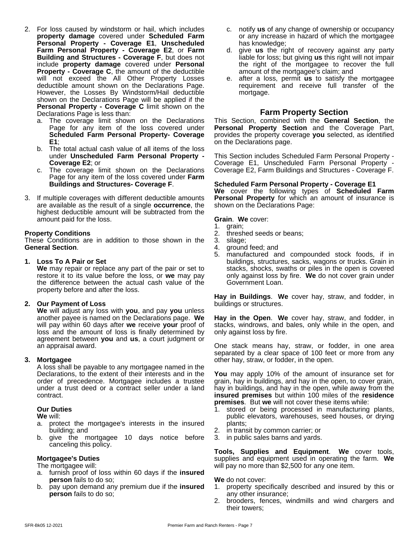- 2. For loss caused by windstorm or hail, which includes **property damage** covered under **Scheduled Farm Personal Property - Coverage E1**, **Unscheduled Farm Personal Property - Coverage E2**, or **Farm Building and Structures - Coverage F**, but does not include **property damage** covered under **Personal Property - Coverage C**, the amount of the deductible will not exceed the All Other Property Losses e. afte deductible amount shown on the Declarations Page. However, the Losses By Windstorm/Hail deductible shown on the Declarations Page will be applied if the **Personal Property - Coverage C** limit shown on the Declarations Page is less than:
	- a. The coverage limit shown on the Declarations Page for any item of the loss covered under **Scheduled Farm Personal Property- Coverage E1**;
	- b. The total actual cash value of all items of the loss under **Unscheduled Farm Personal Property - Coverage E2**; or
	- c. The coverage limit shown on the Declarations Page for any item of the loss covered under **Farm Buildings and Structures- Coverage F**.
- 3. If multiple coverages with different deductible amounts are available as the result of a single **occurrence**, the highest deductible amount will be subtracted from the amount paid for the loss.

#### **Property Conditions**

These Conditions are in addition to those shown in the **General Section**.

#### **1. Loss To A Pair or Set**

**We** may repair or replace any part of the pair or set to restore it to its value before the loss, or **we** may pay the difference between the actual cash value of the property before and after the loss.

#### **2. Our Payment of Loss**

**We** will adjust any loss with **you**, and pay **you** unless another payee is named on the Declarations page.**We** will pay within 60 days after **we** receive **your** proof of loss and the amount of loss is finally determined by agreement between **you** and **us**, a court judgment or an appraisal award.

#### **3. Mortgagee**

A loss shall be payable to any mortgagee named in the Declarations, to the extent of their interests and in the order of precedence. Mortgagee includes a trustee under a trust deed or a contract seller under a land contract.

#### **Our Duties**

**We** will:

- a. protect the mortgagee's interests in the insured building; and
- b. give the mortgagee 10 days notice before canceling this policy.

#### **Mortgagee's Duties**

The mortgagee will:

- a. furnish proof of loss within 60 days if the **insured person** fails to do so;
- b. pay upon demand any premium due if the **insured person** fails to do so;
- c. notify **us** of any change of ownership or occupancy or any increase in hazard of which the mortgagee has knowledge;
- d. give **us** the right of recovery against any party liable for loss; but giving **us** this right will not impair the right of the mortgagee to recover the full amount of the mortgagee's claim; and
- e. after a loss, permit **us** to satisfy the mortgagee requirement and receive full transfer of the mortgage.

# **Farm Property Section**

This Section, combined with the **General Section**, the **Personal Property Section** and the Coverage Part, provides the property coverage you selected, as identified on the Declarations page.

This Section includes Scheduled Farm Personal Property - Coverage E1, Unscheduled Farm Personal Property - Coverage E2, Farm Buildings and Structures - Coverage F.

#### **Scheduled Farm Personal Property - Coverage E1**

**We** cover the following types of **Scheduled Farm Personal Property** for which an amount of insurance is shown on the Declarations Page:

**Grain**. **We** cover:

- 1. grain;
- 2. threshed seeds or beans;
- 3. silage;
- 4. ground feed; and
- 5. manufactured and compounded stock foods, if in buildings, structures, sacks, wagons or trucks. Grain in stacks, shocks, swaths or piles in the open is covered only against loss by fire. **We** do not cover grain under Government Loan.

Hay in Buildings. We cover hay, straw, and fodder, in buildings or structures.

**Hay in the Open. We** cover hay, straw, and fodder, in stacks, windrows, and bales, only while in the open, and only against loss by fire.

One stack means hay, straw, or fodder, in one area separated by a clear space of 100 feet or more from any other hay, straw, or fodder, in the open.

**You** may apply 10% of the amount of insurance set for grain, hay in buildings, and hay in the open, to cover grain, hay in buildings, and hay in the open, while away from the **insured premises** but within 100 miles of the **residence premises**. But **we** will not cover these items while:

- 1. stored or being processed in manufacturing plants, public elevators, warehouses, seed houses, or drying plants;
- 2. in transit by common carrier; or
- 3. in public sales barns and yards.

**Tools, Supplies and Equipment**. **We** cover tools, supplies and equipment used in operating the farm. **We** will pay no more than \$2,500 for any one item.

#### **We** do not cover:

- 1. property specifically described and insured by this or any other insurance;
- 2. brooders, fences, windmills and wind chargers and their towers;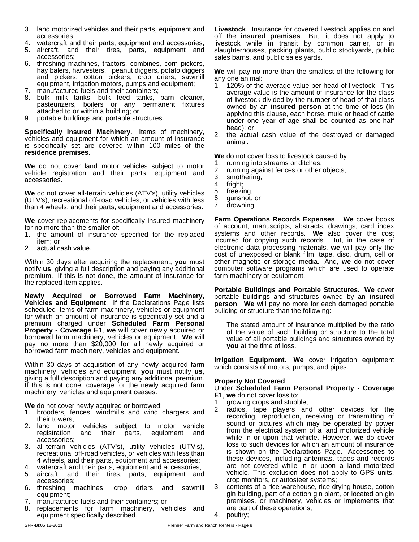- 3. land motorized vehicles and their parts, equipment and accessories;
- 4. watercraft and their parts, equipment and accessories;
- 5. aircraft, and their tires, parts, equipment and accessories;
- 6. threshing machines, tractors, combines, corn pickers, hay balers, harvesters, peanut diggers, potato diggers and pickers, cotton pickers, crop driers, sawmill equipment, irrigation motors, pumps and equipment;
- 7. manufactured fuels and their containers;
- 8. bulk milk tanks, bulk feed tanks, barn cleaner, pasteurizers, boilers or any permanent fixtures attached to or within a building; or
- 9. portable buildings and portable structures.

**Specifically Insured Machinery**. Items of machinery, vehicles and equipment for which an amount of insurance is specifically set are covered within 100 miles of the **residence premises**.

**We** do not cover land motor vehicles subject to motor vehicle registration and their parts, equipment and  $\frac{2}{3}$ . accessories.

**We** do not cover all-terrain vehicles (ATV's), utility vehicles <sup>5.</sup><br>(UTV's), recreational off-road vehicles, or vehicles with less 6. (UTV's), recreational off-road vehicles, or vehicles with less  $\frac{6}{7}$ . than 4 wheels, and their parts, equipment and accessories.

**We** cover replacements for specifically insured machinery for no more than the smaller of:

- 1. the amount of insurance specified for the replaced item; or
- 2. actual cash value.

Within 30 days after acquiring the replacement, **you** must notify **us**, giving a full description and paying any additional premium. If this is not done, the amount of insurance for the replaced item applies.

**Newly Acquired or Borrowed Farm Machinery, Vehicles and Equipment**. If the Declarations Page lists scheduled items of farm machinery, vehicles or equipment for which an amount of insurance is specifically set and a premium charged under **Scheduled Farm Personal Property - Coverage E1**, **we** will cover newly acquired or borrowed farm machinery, vehicles or equipment. **We** will pay no more than \$20,000 for all newly acquired or borrowed farm machinery, vehicles and equipment.

Within 30 days of acquisition of any newly acquired farm machinery, vehicles and equipment, **you** must notify **us**, giving a full description and paying any additional premium. If this is not done, coverage for the newly acquired farm machinery, vehicles and equipment ceases.

**We** do not cover newly acquired or borrowed:

- 1. brooders, fences, windmills and wind chargers and their towers;
- 2. land motor vehicles subject to motor vehicle registration and their parts, equipment and accessories;
- 3. all-terrain vehicles (ATV's), utility vehicles (UTV's), recreational off-road vehicles, or vehicles with less than 4 wheels, and their parts, equipment and accessories;
- 4. watercraft and their parts, equipment and accessories;
- 5. aircraft, and their tires, parts, equipment and accessories;
- 6. threshing machines, crop driers and sawmill equipment;
- 7. manufactured fuels and their containers; or
- 8. replacements for farm machinery, vehicles and equipment specifically described.

**Livestock**. Insurance for covered livestock applies on and off the **insured premises**. But, it does not apply to livestock while in transit by common carrier, or in slaughterhouses, packing plants, public stockyards, public sales barns, and public sales yards.

**We** will pay no more than the smallest of the following for any one animal:

- 1. 120% of the average value per head of livestock. This average value is the amount of insurance for the class of livestock divided by the number of head of that class owned by an **insured person** at the time of loss (In applying this clause, each horse, mule or head of cattle under one year of age shall be counted as one-half head); or
- 2. the actual cash value of the destroyed or damaged animal.

**We** do not cover loss to livestock caused by:

- 1. running into streams or ditches;
- 2. running against fences or other objects;
- 3. smothering;
- fright;
- 5. freezing;
- gunshot; or
- drowning.

**Farm Operations Records Expenses. We** cover books of account, manuscripts, abstracts, drawings, card index systems and other records. **We** also cover the cost incurred for copying such records. But, in the case of electronic data processing materials, **we** will pay only the cost of unexposed or blank film, tape, disc, drum, cell or other magnetic or storage media. And, **we** do not cover computer software programs which are used to operate farm machinery or equipment.

**Portable Buildings and Portable Structures**. **We** cover portable buildings and structures owned by an **insured person**. **We** will pay no more for each damaged portable building or structure than the following:

The stated amount of insurance multiplied by the ratio of the value of such building or structure to the total value of all portable buildings and structures owned by **you** at the time of loss.

**Irrigation Equipment**. **We** cover irrigation equipment which consists of motors, pumps, and pipes.

#### **Property Not Covered**

Under **Scheduled Farm Personal Property - Coverage E1**, **we** do not cover loss to:

- 1. growing crops and stubble;
- 2. radios, tape players and other devices for the recording, reproduction, receiving or transmitting of sound or pictures which may be operated by power from the electrical system of a land motorized vehicle while in or upon that vehicle. However, **we** do cover loss to such devices for which an amount of insurance is shown on the Declarations Page. Accessories to these devices, including antennas, tapes and records are not covered while in or upon a land motorized vehicle. This exclusion does not apply to GPS units, crop monitors, or autosteer systems;
- 3. contents of a rice warehouse, rice drying house, cotton gin building, part of a cotton gin plant, or located on gin premises, or machinery, vehicles or implements that are part of these operations;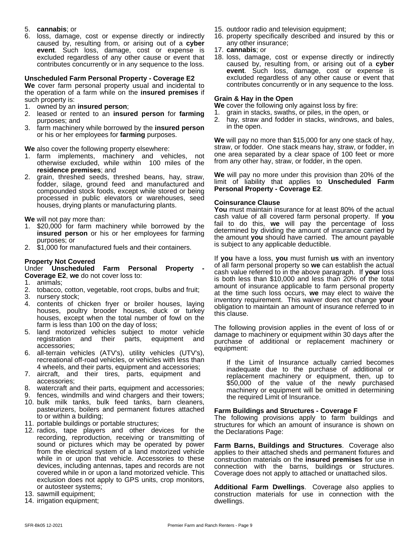#### 5. **cannabis**; or

6. loss, damage, cost or expense directly or indirectly caused by, resulting from, or arising out of a **cyber event**. Such loss, damage, cost or expense is excluded regardless of any other cause or event that contributes concurrently or in any sequence to the loss.

#### **Unscheduled Farm Personal Property - Coverage E2**

We cover farm personal property usual and incidental to the operation of a farm while on the **insured premises** if such property is:

- 1. owned by an **insured person**;
- 2. leased or rented to an **insured person** for **farming** purposes; and
- 3. farm machinery while borrowed by the **insured person** or his or her employees for **farming** purposes.

**We** also cover the following property elsewhere:

- 1. farm implements, machinery and vehicles, not otherwise excluded, while within 100 miles of the **residence premises**; and
- 2. grain, threshed seeds, threshed beans, hay, straw,  $\mathbf{W}^{\mathbf{e}}$ , fodder, silage, ground feed and manufactured and limit of liat compounded stock foods, except while stored or being processed in public elevators or warehouses, seed houses, drying plants or manufacturing plants.

**We** will not pay more than:

- 1. \$20,000 for farm machinery while borrowed by the **insured person** or his or her employees for farming purposes; or
- 2. \$1,000 for manufactured fuels and their containers.

#### **Property Not Covered**

#### Under **Unscheduled Farm Personal Property - Coverage E2**, **we** do not cover loss to:

1. animals;

- 2. tobacco, cotton, vegetable, root crops, bulbs and fruit;
- 3. nursery stock;
- 4. contents of chicken fryer or broiler houses, laying houses, poultry brooder houses, duck or turkey houses, except when the total number of fowl on the farm is less than 100 on the day of loss;
- 5. land motorized vehicles subject to motor vehicle registration and their parts, equipment and accessories;
- 6. all-terrain vehicles (ATV's), utility vehicles (UTV's), recreational off-road vehicles, or vehicles with less than 4 wheels, and their parts, equipment and accessories;
- 7. aircraft, and their tires, parts, equipment and accessories;
- 8. watercraft and their parts, equipment and accessories;
- 9. fences, windmills and wind chargers and their towers;
- 10. bulk milk tanks, bulk feed tanks, barn cleaners, pasteurizers, boilers and permanent fixtures attached to or within a building;
- 11. portable buildings or portable structures;
- 12. radios, tape players and other devices for the recording, reproduction, receiving or transmitting of sound or pictures which may be operated by power from the electrical system of a land motorized vehicle while in or upon that vehicle. Accessories to these devices, including antennas, tapes and records are not covered while in or upon a land motorized vehicle. This exclusion does not apply to GPS units, crop monitors, or autosteer systems;
- 13. sawmill equipment;
- 14. irrigation equipment;
- 15. outdoor radio and television equipment;
- 16. property specifically described and insured by this or any other insurance;
- 17. **cannabis**; or
- 18. loss, damage, cost or expense directly or indirectly caused by, resulting from, or arising out of a **cyber event**. Such loss, damage, cost or expense is excluded regardless of any other cause or event that contributes concurrently or in any sequence to the loss.

#### **Grain & Hay in the Open**

**We** cover the following only against loss by fire:

- 1. grain in stacks, swaths, or piles, in the open, or
- hay, straw and fodder in stacks, windrows, and bales, in the open.

**We** will pay no more than \$15,000 for any one stack of hay, straw, or fodder. One stack means hay, straw, or fodder, in one area separated by a clear space of 100 feet or more from any other hay, straw, or fodder, in the open.

**We** will pay no more under this provision than 20% of the limit of liability that applies to **Unscheduled Farm Personal Property - Coverage E2**.

#### **Coinsurance Clause**

**You** must maintain insurance for at least 80% of the actual cash value of all covered farm personal property. If **you** fail to do this, **we** will pay the percentage of loss determined by dividing the amount of insurance carried by the amount **you** should have carried. The amount payable is subject to any applicable deductible.

If **you** have a loss, **you** must furnish **us** with an inventory of all farm personal property so **we** can establish the actual cash value referred to in the above paragraph. If **your** loss is both less than \$10,000 and less than 20% of the total amount of insurance applicable to farm personal property at the time such loss occurs, **we** may elect to waive the inventory requirement. This waiver does not change **your** obligation to maintain an amount of insurance referred to in this clause.

The following provision applies in the event of loss of or damage to machinery or equipment within 30 days after the purchase of additional or replacement machinery or equipment:

If the Limit of Insurance actually carried becomes inadequate due to the purchase of additional or replacement machinery or equipment, then, up to \$50,000 of the value of the newly purchased machinery or equipment will be omitted in determining the required Limit of Insurance.

#### **Farm Buildings and Structures - Coverage F**

The following provisions apply to farm buildings and structures for which an amount of insurance is shown on the Declarations Page:

**Farm Barns, Buildings and Structures**. Coverage also applies to their attached sheds and permanent fixtures and construction materials on the **insured premises** for use in connection with the barns, buildings or structures. Coverage does not apply to attached or unattached silos.

**Additional Farm Dwellings**. Coverage also applies to construction materials for use in connection with the dwellings.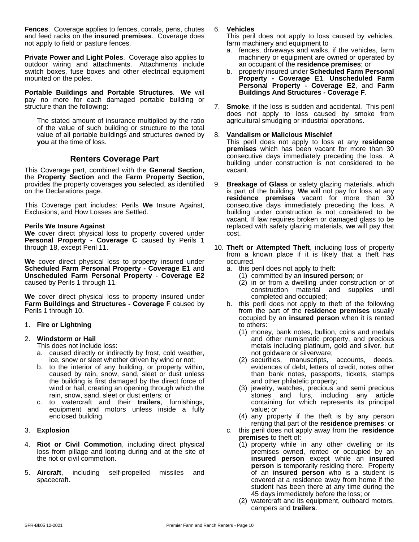Fences. Coverage applies to fences, corrals, pens, chutes and feed racks on the **insured premises**. Coverage does not apply to field or pasture fences.

**Private Power and Light Poles**. Coverage also applies to outdoor wiring and attachments. Attachments include switch boxes, fuse boxes and other electrical equipment b. mounted on the poles.

**Portable Buildings and Portable Structures**. **We** will pay no more for each damaged portable building or structure than the following:

The stated amount of insurance multiplied by the ratio of the value of such building or structure to the total value of all portable buildings and structures owned by 8. **you** at the time of loss.

# **Renters Coverage Part**

This Coverage part, combined with the **General Section**, the **Property Section** and the **Farm Property Section**, provides the property coverages **you** selected, as identified on the Declarations page.

This Coverage part includes: Perils **We** Insure Against, Exclusions, and How Losses are Settled.

#### **Perils We Insure Against**

We cover direct physical loss to property covered under **Personal Property - Coverage C** caused by Perils 1 through 18, except Peril 11.

**We** cover direct physical loss to property insured under **Scheduled Farm Personal Property - Coverage E1** and **Unscheduled Farm Personal Property - Coverage E2** caused by Perils 1 through 11.

We cover direct physical loss to property insured under **Farm Buildings and Structures - Coverage F** caused by Perils 1 through 10.

#### 1. **Fire or Lightning**

# 2. **Windstorm or Hail**

- This does not include loss:
- a. caused directly or indirectly by frost, cold weather, ice, snow or sleet whether driven by wind or not;
- b. to the interior of any building, or property within, caused by rain, snow, sand, sleet or dust unless the building is first damaged by the direct force of wind or hail, creating an opening through which the rain, snow, sand, sleet or dust enters; or
- c. to watercraft and their **trailers**, furnishings, equipment and motors unless inside a fully enclosed building.

#### 3. **Explosion**

- 4. **Riot or Civil Commotion**, including direct physical loss from pillage and looting during and at the site of the riot or civil commotion.
- 5. **Aircraft**, including self-propelled missiles and spacecraft.

#### 6. **Vehicles**

This peril does not apply to loss caused by vehicles, farm machinery and equipment to

- a. fences, driveways and walks, if the vehicles, farm machinery or equipment are owned or operated by an occupant of the **residence premises**; or
- b. property insured under**Scheduled Farm Personal Property - Coverage E1**, **Unscheduled Farm Personal Property - Coverage E2**, and **Farm Buildings And Structures - Coverage F**.
- 7. **Smoke**, if the loss is sudden and accidental. This peril does not apply to loss caused by smoke from agricultural smudging or industrial operations.

#### 8. **Vandalism or Malicious Mischief**

This peril does not apply to loss at any **residence premises** which has been vacant for more than 30 consecutive days immediately preceding the loss. A building under construction is not considered to be vacant.

- 9. **Breakage of Glass** or safety glazing materials, which is part of the building. We will not pay for loss at any **residence premises** vacant for more than 30 consecutive days immediately preceding the loss. A building under construction is not considered to be vacant. If law requires broken or damaged glass to be replaced with safety glazing materials, **we** will pay that cost.
- 10. Theft or Attempted Theft, including loss of property from a known place if it is likely that a theft has occurred.
	- a. this peril does not apply to theft:
		- (1) committed by an **insured person**; or
		- (2) in or from a dwelling under construction or of construction material and supplies until completed and occupied;
	- b. this peril does not apply to theft of the following from the part of the **residence premises** usually occupied by an **insured person** when it is rented to others:
		- (1) money, bank notes, bullion, coins and medals and other numismatic property, and precious metals including platinum, gold and silver, but not goldware or silverware;
		- (2) securities, manuscripts, accounts, deeds, evidences of debt, letters of credit, notes other than bank notes, passports, tickets, stamps and other philatelic property;
		- (3) jewelry, watches, precious and semi precious stones and furs, including any article containing fur which represents its principal value; or
		- (4) any property if the theft is by any person renting that part of the **residence premises**; or
	- c. this peril does not apply away from the **residence premises** to theft of:
		- (1) property while in any other dwelling or its premises owned, rented or occupied by an **insured person** except while an **insured person** is temporarily residing there. Property of an **insured person** who is a student is covered at a residence away from home if the student has been there at any time during the 45 days immediately before the loss; or
		- (2) watercraft and its equipment, outboard motors, campers and **trailers**.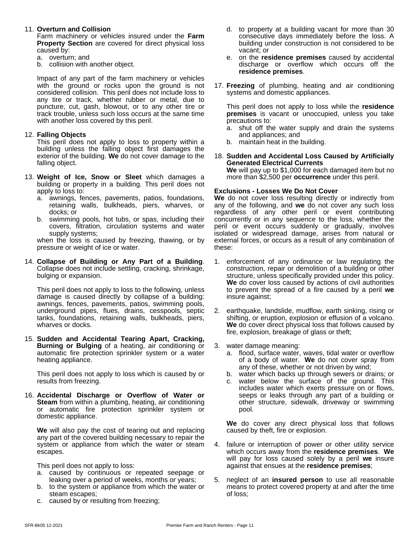#### 11. **Overturn and Collision**

Farm machinery orvehicles insured under the **Farm Property Section** are covered for direct physical loss caused by:

- a. overturn; and
- b. collision with another object.

Impact of any part of the farm machinery or vehicles with the ground or rocks upon the ground is not considered collision. This peril does not include loss to any tire or track, whether rubber or metal, due to puncture, cut, gash, blowout, or to any other tire or track trouble, unless such loss occurs at the same time with another loss covered by this peril.

#### 12. **Falling Objects**

This peril does not apply to loss to property within a building unless the falling object first damages the exterior of the building. **We** do not cover damage to the falling object.

- 13. **Weight of Ice, Snow or Sleet** which damages a building or property in a building. This peril does not apply to loss to:
	- a. awnings, fences, pavements, patios, foundations, We or retaining walls, bulkheads, piers, wharves, or docks; or
	- b. swimming pools, hot tubs, or spas, including their covers, filtration, circulation systems and water supply systems;

when the loss is caused by freezing, thawing, or by pressure or weight of ice or water.

14. **Collapse of Building or Any Part of a Building**. Collapse does not include settling, cracking, shrinkage, bulging or expansion.

This peril does not apply to loss to the following, unless damage is caused directly by collapse of a building: awnings, fences, pavements, patios, swimming pools, underground pipes, flues, drains, cesspools, septic tanks, foundations, retaining walls, bulkheads, piers, wharves or docks.

15. **Sudden and Accidental Tearing Apart, Cracking, Burning or Bulging** of a heating, air conditioning or automatic fire protection sprinkler system or a water heating appliance.

This peril does not apply to loss which is caused by or results from freezing.

16. **Accidental Discharge or Overflow of Water or Steam** from within a plumbing, heating, air conditioning or automatic fire protection sprinkler system or domestic appliance.

**We** will also pay the cost of tearing out and replacing any part of the covered building necessary to repair the system or appliance from which the water or steam escapes.

This peril does not apply to loss:

- a. caused by continuous or repeated seepage or leaking over a period of weeks, months or years;
- b. to the system or appliance from which the water or steam escapes;
- c. caused by or resulting from freezing;
- d. to property at a building vacant for more than 30 consecutive days immediately before the loss. A building under construction is not considered to be vacant; or
- e. on the **residence premises** caused by accidental discharge or overflow which occurs off the **residence premises**.
- 17. **Freezing** of plumbing, heating and air conditioning systems and domestic appliances.

This peril does not apply to loss while the **residence premises** is vacant or unoccupied, unless you take precautions to:

- a. shut off the water supply and drain the systems and appliances; and
- b. maintain heat in the building.
- 18. **Sudden and Accidental Loss Caused by Artificially Generated Electrical Currents We** will pay up to \$1,000 for each damaged item but no more than \$2,500 per **occurrence** under this peril.

#### **Exclusions - Losses We Do Not Cover**

**We** do not cover loss resulting directly or indirectly from any of the following, and **we** do not cover any such loss regardless of any other peril or event contributing concurrently or in any sequence to the loss, whether the peril or event occurs suddenly or gradually, involves isolated or widespread damage, arises from natural or external forces, or occurs as a result of any combination of these:

- 1. enforcement of any ordinance or law regulating the construction, repair or demolition of a building or other structure, unless specifically provided under this policy. **We** do cover loss caused by actions of civil authorities to prevent the spread of a fire caused by a peril **we** insure against;
- 2. earthquake, landslide, mudflow, earth sinking, rising or shifting, or eruption, explosion or effusion of a volcano. **We** do cover direct physical loss that follows caused by fire, explosion, breakage of glass or theft;
- 3. water damage meaning:
	- a. flood, surface water, waves, tidal water or overflow of a body of water. **We** do not cover spray from any of these, whether or not driven by wind;
	- b. water which backs up through sewers or drains; or
	- c. water below the surface of the ground. This includes water which exerts pressure on or flows, seeps or leaks through any part of a building or other structure, sidewalk, driveway or swimming pool.

**We** do cover any direct physical loss that follows caused by theft, fire or explosion.

- 4. failure or interruption of power or other utility service which occurs away from the **residence premises**. **We** will pay for loss caused solely by a peril**we** insure against that ensues at the **residence premises**;
- 5. neglect of an **insured person** to use allreasonable means to protect covered property at and after the time of loss;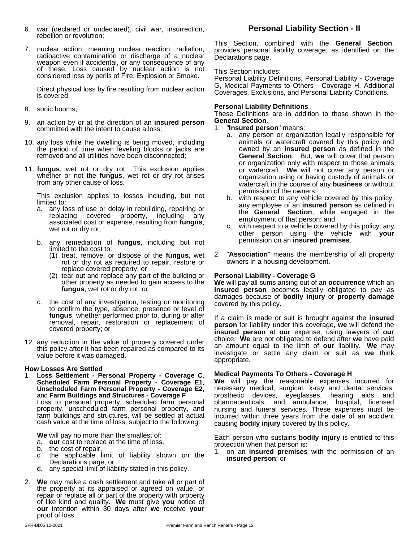- 6. war (declared or undeclared), civil war, insurrection, rebellion or revolution;
- 7. nuclear action, meaning nuclear reaction, radiation, radioactive contamination or discharge of a nuclear weapon even if accidental, or any consequence of any of these. Loss caused by nuclear action is not considered loss by perils of Fire, Explosion or Smoke.

Direct physical loss by fire resulting from nuclear action is covered.

- 8. sonic booms;
- 9. an action by or at the direction of an **insured person** committed with the intent to cause a loss;
- 10. any loss while the dwelling is being moved, including the period of time when leveling blocks or jacks are removed and all utilities have been disconnected;
- 11. **fungus**, wet rot or dry rot. This exclusion applies whether or not the **fungus**, wet rot or dry rot arises from any other cause of loss.

This exclusion applies to losses including, but not limited to:

- a. any loss of use or delay in rebuilding, repairing or replacing covered property, including any associated cost or expense, resulting from **fungus**, wet rot or dry rot;
- b. any remediation of **fungus**, including but not limited to the cost to:
	- (1) treat, remove, or dispose of the **fungus**, wet rot or dry rot as required to repair, restore or replace covered property, or
	- (2) tear out and replace any part of the building or Personal other property as needed to gain access to the  $\mathbf W$ e will pay a **fungus**, wet rot or dry rot; or
- c. the cost of any investigation, testing or monitoring to confirm the type, absence, presence or level of **fungus**, whether performed prior to, during or after removal, repair, restoration or replacement of covered property; or
- 12. any reduction in the value of property covered under this policy after it has been repaired as compared to its value before it was damaged.

#### **How Losses Are Settled**

1. **Loss Settlement - Personal Property - Coverage C**, **Scheduled Farm Personal Property - Coverage E1**, **Unscheduled Farm Personal Property - Coverage E2**, and **Farm Buildings and Structures - Coverage F** Loss to personal property, scheduled farm personal property, unscheduled farm personal property, and farm buildings and structures, will be settled at actual incr cash value at the time of loss, subject to the following:

**We** will pay no more than the smallest of:

- a. **our** cost to replace at the time of loss,
- b. the cost of repair,
- c. the applicable limit of liability shown on the Declarations page, or
- d. any special limit of liability stated in this policy.
- 2. **We** may make a cash settlement and take all or part of the property at its appraised or agreed on value, or repair or replace all or part of the property with property of like kind and quality. **We** must give **you** notice of **our** intention within 30 days after **we** receive **your** proof of loss.

# **Personal Liability Section - II**

This Section, combined with the **General Section**, provides personal liability coverage, as identified on the Declarations page.

#### This Section includes:

Personal Liability Definitions, Personal Liability - Coverage G, Medical Payments to Others - Coverage H, Additional Coverages, Exclusions, and Personal Liability Conditions.

#### **Personal Liability Definitions**

These Definitions are in addition to those shown in the **General Section**.

1. "**Insured person**" means:

- a. any person or organization legally responsible for animals or watercraft covered by this policy and owned by an **insured person** as defined in the **General Section**. But, **we** will cover that person or organization only with respect to those animals or watercraft. **We** will not cover any person or organization using or having custody of animals or watercraft in the course of any **business** or without permission of the owners;
- b. with respect to any vehicle covered by this policy, any employee of an **insured person** as defined in the **General Section**, while engaged in the employment of that person; and
- c. with respect to a vehicle covered by this policy, any other person using the vehicle with **your** permission on an **insured premises**.
- 2. "**Association**" means the membership of all property owners in a housing development.

#### **Personal Liability - Coverage G**

**We** will pay all sums arising out of an **occurrence** which an **insured person** becomes legally obligated to pay as damages because of **bodily injury** or **property damage** covered by this policy.

If a claim is made or suit is brought against the **insured person** for liability under this coverage, **we** will defend the **insured person** at **our** expense, using lawyers of **our** choice. We are not obligated to defend after we have paid an amount equal to the limit of **our** liability. **We** may investigate or settle any claim or suit as **we** think appropriate.

#### **Medical Payments To Others - Coverage H**

**We** will pay the reasonable expenses incurred for necessary medical, surgical, x-ray and dental services, prosthetic devices, eyeglasses, hearing aids and pharmaceuticals, and ambulance, hospital, licensed nursing and funeral services. These expenses must be incurred within three years from the date of an accident causing **bodily injury** covered by this policy.

Each person who sustains **bodily injury** is entitled to this protection when that person is:

1. on an **insured premises** with the permission of an **insured person**; or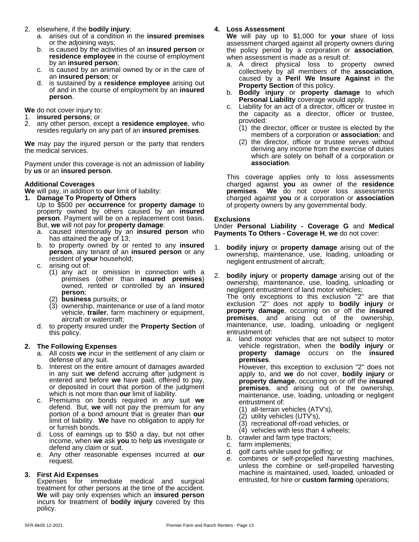- 2. elsewhere, if the **bodily injury**:
	- a. arises out of a condition in the **insured premises** or the adjoining ways;
	- b. is caused by the activities of an **insured person** or **residence employee** in the course of employment by an **insured person**;
	- c. is caused by an animal owned by or in the care of an **insured person**; or
	- d. is sustained by a **residence employee** arising out of and in the course of employment by an **insured person**.

**We** do not cover injury to:

- 1. **insured persons**; or
- 2. any other person, except a **residence employee**, who resides regularly on any part of an **insured premises**.

**We** may pay the injured person or the party that renders the medical services.

Payment under this coverage is not an admission of liability by **us** or an **insured person**.

#### **Additional Coverages**

- **We** will pay, in addition to **our** limit of liability:
- **1. Damage To Property of Others** Up to \$500 per **occurrence** for **property damage** to property owned by others caused by an **insured person**. Payment will be on a replacement cost basis. But, **we** will not pay for **property damage**:
	- a. caused intentionally by an **insured person** who has attained the age of 13;
	- b. to property owned by or rented to any **insured person**, any tenant of an **insured person** or any resident of **your** household;
	- c. arising out of:
		- (1) any act or omission in connection with a premises (other than **insured premises**) owned, rented or controlled by an **insured person**;
		- (2) **business** pursuits; or
		- (3) ownership, maintenance or use of a land motor vehicle, **trailer**, farm machinery or equipment, aircraft or watercraft;
	- d. to property insured underthe **Property Section** of this policy.

# **2. The Following Expenses**

- a. All costs **we** incur in the settlement of any claim or defense of any suit.
- b. Interest on the entire amount of damages awarded in any suit **we** defend accruing after judgment is entered and before **we** have paid, offered to pay, or deposited in court that portion of the judgment which is not more than **our** limit of liability.
- c. Premiums on bonds required in any suit **we** defend. But, we will not pay the premium for any portion of a bond amount that is greater than **our** limit of liability. **We** have no obligation to apply for or furnish bonds.
- d. Loss of earnings up to \$50 a day, but not other income, when **we** ask **you** to help **us** investigate or defend any claim or suit.
- e. Any other reasonable expenses incurred at **our** request.

# **3. First Aid Expenses**

Expenses for immediate medical and surgical treatment for other persons at the time of the accident. **We** will pay only expenses which an **insured person** incurs for treatment of **bodily injury** covered by this policy.

# **4. Loss Assessment**

**We** will pay up to \$1,000 for **your** share of loss assessment charged againstall property owners during the policy period by a corporation or **association**, when assessment is made as a result of:

- a. A direct physical loss to property owned collectively by all members of the **association**, caused by a **Peril We Insure Against** in the **Property Section** of this policy.
- b. **Bodily injury** or **property damage** to which **Personal Liability** coverage would apply.
- c. Liability for an act of a director, officer or trustee in the capacity as a director, officer or trustee, provided:
	- (1) the director, officer or trustee is elected by the members of a corporation or **association**; and
	- (2) the director, officer or trustee serves without deriving any income from the exercise of duties which are solely on behalf of a corporation or **association**.

This coverage applies only to loss assessments charged against **you** as owner of the **residence premises**. **We** do not cover loss assessments charged against **you** or a corporation or **association** of property owners by any governmental body.

#### **Exclusions**

Under **Personal Liability - Coverage G** and **Medical Payments To Others - Coverage H**, **we** do not cover:

- 1. **bodily injury** or **property damage** arising out of the ownership, maintenance, use, loading, unloading or negligent entrustment of aircraft;
- 2. **bodily injury** or **property damage** arising out of the ownership, maintenance, use, loading, unloading or negligent entrustment of land motor vehicles; The only exceptions to this exclusion "2" are that exclusion "2" does not apply to **bodily injury** or **property damage**, occurring on or off the **insured premises**, and arising out of the ownership, maintenance, use, loading, unloading or negligent entrustment of:
	- a. land motor vehicles that are not subject to motor vehicle registration, when the **bodily injury** or **property damage** occurs on the **insured premises**.

However, this exception to exclusion "2" does not apply to, and **we** do notcover, **bodily injury** or **property damage**, occurring on or off the **insured premises**, and arising out of the ownership, maintenance, use, loading, unloading or negligent entrustment of:

- (1) all-terrain vehicles (ATV's),
- (2) utility vehicles (UTV's),
- (3) recreational off-road vehicles, or
- $(4)$  vehicles with less than 4 wheels;
- b. crawler and farm type tractors;
- farm implements;
- golf carts while used for golfing; or
- e. combines or self-propelled harvesting machines, unless the combine or self-propelled harvesting machine is maintained, used, loaded, unloaded or entrusted, for hire or **custom farming** operations;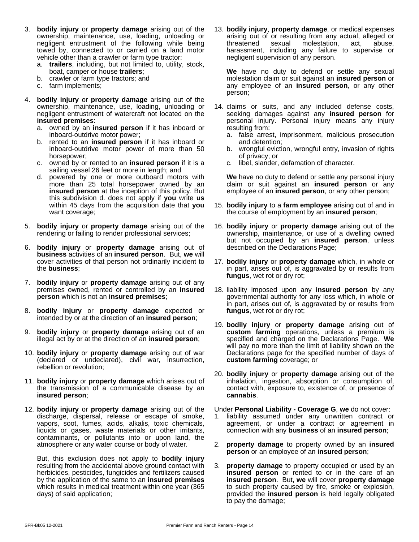- 3. **bodily injury** or **property damage** arising out of the ownership, maintenance, use, loading, unloading or negligent entrustment of the following while being towed by, connected to or carried on a land motor vehicle other than a crawler or farm type tractor:
	- a. **trailers**, including, but not limited to, utility, stock, boat, camper or house **trailers**;
	- b. crawler or farm type tractors; and
	- c. farm implements;
- 4. **bodily injury** or **property damage** arising out of the ownership, maintenance, use, loading, unloading or negligent entrustment of watercraft not located on the **insured premises**:
	- a. owned by an **insured person** if it has inboard or inboard-outdrive motor power;
	- b. rented to an **insured person** if it has inboard or inboard-outdrive motor power of more than 50 horsepower;
	- c. owned by or rented to an **insured person** if it is a sailing vessel 26 feet or more in length; and
	- d. powered by one or more outboard motors with We have more than 25 total horsepower owned by an **insured person** at the inception of this policy. But this subdivision d. does not apply if **you** write **us** within 45 days from the acquisition date that **you** want coverage;
- 5. **bodily injury** or **property damage** arising out of the rendering or failing to render professional services;
- 6. **bodily injury** or **property damage** arising out of **business** activities of an **insured person**. But, **we** will cover activities of that person not ordinarily incident to the **business**;
- 7. **bodily injury** or **property damage** arising out of any premises owned, rented or controlled by an **insured person** which is not an **insured premises**;
- 8. **bodily injury** or **property damage** expected or intended by or at the direction of an **insured person**;
- 9. **bodily injury** or **property damage** arising out of an illegal act by or at the direction of an **insured person**;
- 10. **bodily injury** or **property damage** arising out of war (declared or undeclared), civil war, insurrection, rebellion or revolution;
- 11. **bodily injury** or **property damage** which arises out of the transmission of a communicable disease by an **insured person**;
- 12. **bodily injury** or **property damage** arising out of the discharge, dispersal, release or escape of smoke, vapors, soot, fumes, acids, alkalis, toxic chemicals, liquids or gases, waste materials or other irritants, contaminants, or pollutants into or upon land, the atmosphere or any water course or body of water.

But, this exclusion does not apply to **bodily injury** resulting from the accidental above ground contact with herbicides, pesticides, fungicides and fertilizers caused by the application of the same to an **insured premises** which results in medical treatment within one year (365 days) of said application;

13. **bodily injury**, **property damage**, or medical expenses arising out of or resulting from any actual, alleged or threatened sexual molestation, act, abuse, harassment, including any failure to supervise or negligent supervision of any person.

**We** have no duty to defend or settle any sexual molestation claim or suit against an **insured person** or any employee of an **insured person**, or any other person;

- 14. claims or suits, and any included defense costs, seeking damages against any **insured person** for personal injury. Personal injury means any injury resulting from:
	- a. false arrest, imprisonment, malicious prosecution and detention;
	- b. wrongful eviction, wrongful entry, invasion of rights of privacy; or
	- c. libel, slander, defamation of character.

**We** have no duty to defend or settle any personal injury claim or suit against an **insured person** or any employee of an **insured person**, or any other person;

- 15. **bodily injury** to a **farm employee** arising out of and in the course of employment by an **insured person**;
- 16. **bodily injury** or **property damage** arising out of the ownership, maintenance, or use of a dwelling owned but not occupied by an **insured person**, unless described on the Declarations Page;
- 17. **bodily injury** or **property damage** which, in whole or in part, arises out of, is aggravated by or results from **fungus**, wet rot or dry rot;
- 18. liability imposed upon any **insured person** by any governmental authority for any loss which, in whole or in part, arises out of, is aggravated by or results from **fungus**, wet rot or dry rot;
- 19. **bodily injury** or **property damage** arising out of **custom farming** operations, unless a premium is specified and charged on the Declarations Page. **We** will pay no more than the limit of liability shown on the Declarations page for the specified number of days of **custom farming** coverage; or
- 20. **bodily injury** or **property damage** arising out of the inhalation, ingestion, absorption or consumption of, contact with, exposure to, existence of, or presence of **cannabis**.

Under **Personal Liability - Coverage G**, **we** do not cover:

- 1. liability assumed under any unwritten contract or agreement, or under a contract or agreement in connection with any **business** of an **insured person**;
- 2. **property damage** to property owned by an **insured person** or an employee of an **insured person**;
- 3. **property damage** to property occupied or used by an **insured person** or rented to or in the care of an **insured person**. But, **we** will cover **property damage** to such property caused by fire, smoke or explosion, provided the **insured person** is held legally obligated to pay the damage;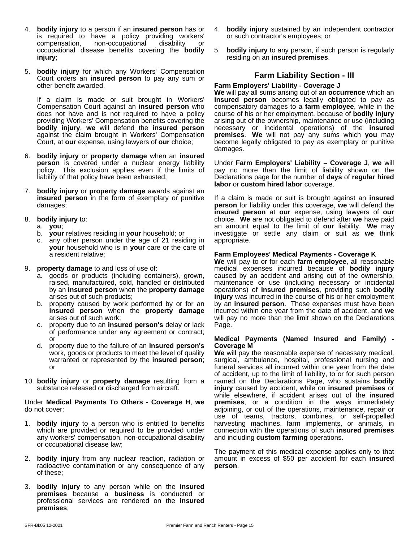- 4. **bodily injury** to a person if an **insured person** has or is required to have a policy providing workers' compensation, non-occupational disability or occupational disease benefits covering the **bodily injury**;
- 5. **bodily injury** for which any Workers' Compensation Court orders an **insured person** to pay any sum or other benefit awarded.

If a claim is made or suit brought in Workers' Compensation Court against an **insured person** who does not have and is not required to have a policy providing Workers' Compensation benefits covering the **bodily injury**, **we** will defend the **insured person** against the claim brought in Workers' Compensation Court, at **our** expense, using lawyers of **our** choice;

- 6. **bodily injury** or **property damage** when an **insured person** is covered under a nuclear energy liability policy. This exclusion applies even if the limits of liability of that policy have been exhausted;
- 7. **bodily injury** or **property damage** awards against an **insured person** in the form of exemplary or punitive damages;
- 8. **bodily injury** to:
	- a. **you**;
	- b. **your** relatives residing in **your** household; or
	- c. any other person under the age of 21 residing in **your** household who is in **your** care or the care of a resident relative;
- 9. **property damage** to and loss of use of:
	- a. goods or products (including containers), grown, raised, manufactured, sold, handled or distributed by an **insured person** when the **property damage** arises out of such products;
	- b. property caused by work performed by or for an **insured person** when the **property damage** arises out of such work:
	- c. property due to an **insured person's** delay or lack of performance under any agreement or contract; or
	- d. property due to the failure of an **insured person's** work, goods or products to meet the level of quality warranted or represented by the **insured person**; or
- 10. **bodily injury** or **property damage** resulting from a substance released or discharged from aircraft.

#### Under **Medical Payments To Others - Coverage H**, **we** do not cover:

- 1. **bodily injury** to a person who is entitled to benefits which are provided or required to be provided under any workers' compensation, non-occupational disability or occupational disease law;
- 2. **bodily injury** from any nuclear reaction, radiation or radioactive contamination or any consequence of any of these;
- 3. **bodily injury** to any person while on the **insured premises** because a **business** is conducted or professional services are rendered on the **insured premises**;
- 4. **bodily injury** sustained by an independent contractor or such contractor's employees; or
- 5. **bodily injury** to any person, if such person is regularly residing on an **insured premises**.

# **Farm Liability Section - III**

#### **Farm Employers' Liability - Coverage J**

**We** will pay all sums arising out of an **occurrence** which an **insured person** becomes legally obligated to pay as compensatory damages to a **farm employee**, while in the course of his or her employment, because of **bodily injury** arising out of the ownership, maintenance or use (including necessary or incidental operations) of the **insured premises**. **We** will not pay any sums which **you** may become legally obligated to pay as exemplary or punitive damages.

Under **Farm Employers' Liability – Coverage J**, **we** will pay no more than the limit of liability shown on the Declarations page for the number of **days** of **regular hired labor** or **custom hired labor** coverage.

If a claim is made or suit is brought against an **insured person** for liability under this coverage, **we** will defend the **insured person** at **our** expense, using lawyers of **our** choice. We are not obligated to defend after we have paid an amount equal to the limit of **our** liability. **We** may investigate or settle any claim or suit as **we** think appropriate.

#### **Farm Employees' Medical Payments - Coverage K**

**We** will pay to or foreach **farm employee**, all reasonable medical expenses incurred because of **bodily injury** caused by an accident and arising out of the ownership, maintenance or use (including necessary or incidental operations) of **insured premises**, providing such **bodily injury** was incurred in the course of his or her employment by an **insured person**. These expenses must have been incurred within one year from the date of accident, and **we** will pay no more than the limit shown on the Declarations Page.

#### **Medical Payments (Named Insured and Family) - Coverage M**

**We** will pay the reasonable expense of necessary medical, surgical, ambulance, hospital, professional nursing and funeral services all incurred within one year from the date of accident, up to the limit of liability, to or for such person named on the Declarations Page, who sustains **bodily injury** caused by accident, while on **insured premises** or while elsewhere, if accident arises out of the i**nsured premises**, or a condition in the ways immediately adjoining, or out of the operations, maintenance, repair or use of teams, tractors, combines, or self-propelled harvesting machines, farm implements, or animals, in connection with the operations of such **insured premises** and including **custom farming** operations.

The payment of this medical expense applies only to that amount in excess of \$50 per accident for each **insured person**.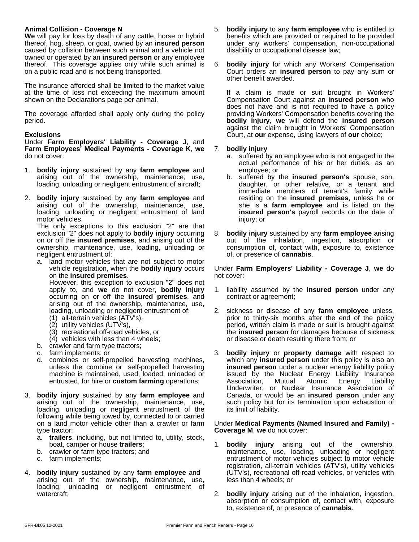#### **Animal Collision - Coverage N**

**We** will pay for loss by death of any cattle, horse or hybrid thereof, hog, sheep, or goat, owned by an **insured person** caused by collision between such animal and a vehicle not owned or operated by an **insured person** or any employee thereof. This coverage applies only while such animal is on a public road and is not being transported.

The insurance afforded shall be limited to the market value at the time of loss not exceeding the maximum amount shown on the Declarations page per animal.

The coverage afforded shall apply only during the policy period.

#### **Exclusions**

Under **Farm Employers' Liability - Coverage J**, and **Farm Employees' Medical Payments - Coverage K**, **we** do not cover:

- 1. **bodily injury** sustained by any **farm employee** and arising out of the ownership, maintenance, use, loading, unloading or negligent entrustment of aircraft;
- 2. **bodily injury** sustained by any **farm employee** and arising out of the ownership, maintenance, use, loading, unloading or negligent entrustment of land motor vehicles.

The only exceptions to this exclusion "2" are that exclusion "2" does not apply to **bodily injury** occurring on or off the **insured premises**, and arising out of the ownership, maintenance, use, loading, unloading or negligent entrustment of:

a. land motor vehicles that are not subject to motor vehicle registration, when the **bodily injury** occurs on the **insured premises**.

However, this exception to exclusion "2" does not apply to, and **we** do not cover, **bodily injury** occurring on or off the **insured premises**, and arising out of the ownership, maintenance, use, loading, unloading or negligent entrustment of:

- (1) all-terrain vehicles (ATV's),
- (2) utility vehicles (UTV's),
- (3) recreational off-road vehicles, or
- (4) vehicles with less than 4 wheels;
- b. crawler and farm type tractors;
- c. farm implements; or
- d. combines or self-propelled harvesting machines, unless the combine or self-propelled harvesting machine is maintained, used, loaded, unloaded or entrusted, for hire or **custom farming** operations;
- 3. **bodily injury** sustained by any **farm employee** and arising out of the ownership, maintenance, use, loading, unloading or negligent entrustment of the following while being towed by, connected to or carried on a land motor vehicle other than a crawler or farm type tractor:
	- a. **trailers**, including, but not limited to, utility, stock, boat, camper or house **trailers**;
	- b. crawler or farm type tractors; and
	- c. farm implements;
- 4. **bodily injury** sustained by any **farm employee** and arising out of the ownership, maintenance, use, loading, unloading or negligent entrustment of watercraft;
- 5. **bodily injury** to any **farm employee** who is entitled to benefits which are provided or required to be provided under any workers' compensation, non-occupational disability or occupational disease law;
- 6. **bodily injury** for which any Workers' Compensation Court orders an **insured person** to pay any sum or other benefit awarded.

If a claim is made or suit brought in Workers' Compensation Court against an **insured person** who does not have and is not required to have a policy providing Workers' Compensation benefits covering the **bodily injury**, **we** will defend the **insured person** against the claim brought in Workers' Compensation Court, at **our** expense, using lawyers of **our** choice;

#### 7. **bodily injury**

- a. suffered by an employee who is not engaged in the actual performance of his or her duties, as an employee; or
- b. suffered by the **insured person's** spouse, son, daughter, or other relative, or a tenant and immediate members of tenant's family while residing on the **insured premises**, unless he or she is a **farm employee** and is listed on the **insured person's** payroll records on the date of injury; or
- 8. **bodily injury** sustained by any **farm employee** arising out of the inhalation, ingestion, absorption or consumption of, contact with, exposure to, existence of, or presence of **cannabis**.

Under **Farm Employers' Liability - Coverage J**, **we** do not cover:

- 1. liability assumed by the **insured person** under any contract or agreement;
- 2. sickness or disease of any **farm employee** unless, prior to thirty-six months after the end of the policy period, written claim is made or suit is brought against the **insured person** for damages because of sickness or disease or death resulting there from; or
- 3. **bodily injury** or **property damage** with respect to which any **insured person** under this policy is also an **insured person** under a nuclear energy liability policy issued by the Nuclear Energy Liability Insurance Association, Mutual Atomic Energy Liability Underwriter, or Nuclear Insurance Association of Canada, or would be an **insured person** under any such policy but for its termination upon exhaustion of its limit of liability.

#### Under **Medical Payments (Named Insured and Family) - Coverage M**, **we** do not cover:

- 1. **bodily injury** arising out of the ownership, maintenance, use, loading, unloading or negligent entrustment of motor vehicles subject to motor vehicle registration, all-terrain vehicles (ATV's), utility vehicles (UTV's), recreational off-road vehicles, or vehicles with less than 4 wheels; or
- 2. **bodily injury** arising out of the inhalation, ingestion, absorption or consumption of, contact with, exposure to, existence of, or presence of **cannabis**.